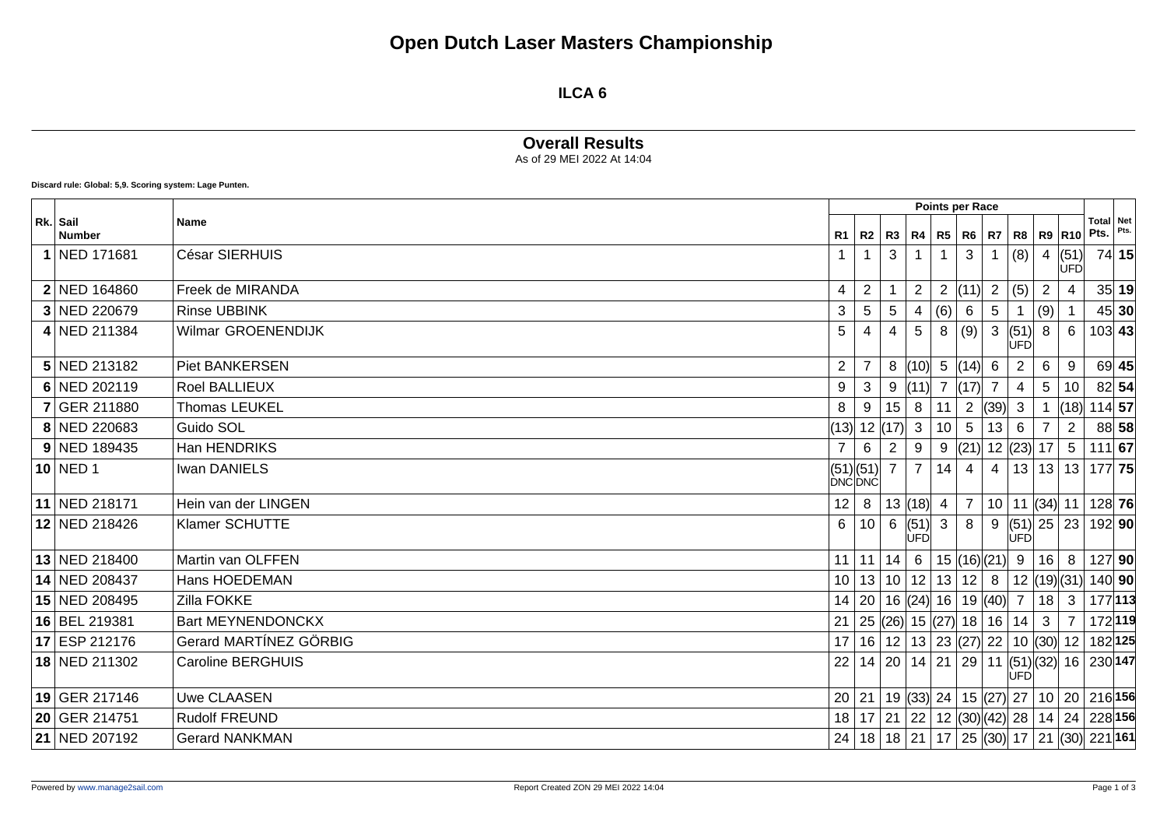### **Open Dutch Laser Masters Championship**

#### **ILCA 6**

#### **Overall Results**

As of 29 MEI 2022 At 14:04

**Discard rule: Global: 5,9. Scoring system: Lage Punten.**

|                           |                          |                 |                |                |                                      |                 | <b>Points per Race</b> |                     |                    |                  |                    |                                                                 |         |
|---------------------------|--------------------------|-----------------|----------------|----------------|--------------------------------------|-----------------|------------------------|---------------------|--------------------|------------------|--------------------|-----------------------------------------------------------------|---------|
| Rk. Sail<br><b>Number</b> | Name                     |                 | $R1$ R2        | R3             | R4   R5   R6   R7                    |                 |                        |                     |                    | <b>R8 R9 R10</b> |                    | Total Net<br>Pts.                                               | Pts.    |
| 1 NED 171681              | César SIERHUIS           |                 |                | 3              |                                      |                 | 3                      |                     | (8)                | 4                | (51)<br><b>UFD</b> |                                                                 | 74 15   |
| 2 NED 164860              | Freek de MIRANDA         | 4               | $\overline{2}$ |                | $\overline{2}$                       |                 | 2  (11)                | $\overline{2}$      | (5)                | 2                | $\overline{4}$     |                                                                 | 35 19   |
| 3 NED 220679              | <b>Rinse UBBINK</b>      | 3               | -5             | 5              |                                      | (6)             | 6                      | $5\phantom{.0}$     |                    | (9)              |                    |                                                                 | 45 30   |
| 4 NED 211384              | Wilmar GROENENDIJK       | 5               |                | 4              | $\overline{5}$                       | 8               | (9)                    | 3                   | (51)<br><b>UFD</b> | 8                | 6                  | $103$ 43                                                        |         |
| 5 NED 213182              | <b>Piet BANKERSEN</b>    | $\overline{2}$  |                | 8              | (10)                                 |                 | 5  (14)                | 6                   | $\overline{2}$     | 6                | 9                  |                                                                 | $69$ 45 |
| 6 NED 202119              | Roel BALLIEUX            | 9               | 3              | 9              | (11)                                 | $\overline{7}$  | (17)                   | $\overline{7}$      | 4                  | $\overline{5}$   | 10                 |                                                                 | 82 54   |
| 7 GER 211880              | <b>Thomas LEUKEL</b>     | 8               | 9              | 15             | 8                                    | 11              | 2                      | (39)                | 3                  |                  | (18)               | 114 57                                                          |         |
| 8 NED 220683              | Guido SOL                |                 | (13) 12 (17)   |                | 3                                    | 10 <sup>1</sup> | 5                      | 13                  | 6                  |                  | $\overline{2}$     |                                                                 | 88 58   |
| 9 NED 189435              | Han HENDRIKS             | $\overline{7}$  | 6              | 2              | 9                                    | 9               | $\vert$ (21) $\vert$   |                     | 12  (23)  17       |                  | $5\phantom{.0}$    | 111 67                                                          |         |
| $10$ NED 1                | Iwan DANIELS             | <b>DNCDNC</b>   | (51)(51)       | $\overline{7}$ | $\overline{7}$                       | 14              | 4                      | 4                   |                    | 13 13 13         |                    | $177$ 75                                                        |         |
| 11 NED 218171             | Hein van der LINGEN      | 12              | 8              |                | 13  (18)                             | $\overline{4}$  |                        |                     |                    | $10$ 11 (34) 11  |                    | $128$ 76                                                        |         |
| 12 NED 218426             | Klamer SCHUTTE           | 6               | 10             | 6              | (51)<br>ÙFĎ                          | 3               | 8                      | 9                   | <b>UFD</b>         | $(51)$ 25 23     |                    | $192$ 90                                                        |         |
| 13 NED 218400             | Martin van OLFFEN        | 11 <sup>1</sup> | 11             | 14             | 6                                    |                 |                        | 15  (16) (21)       | 9                  | 16               | 8                  | $127$ 90                                                        |         |
| 14 NED 208437             | Hans HOEDEMAN            | 10 <sup>1</sup> |                | 13 10          | 12                                   | 13              | 12                     | 8                   |                    |                  | 12  (19)(31)       | 140 90                                                          |         |
| 15 NED 208495             | Zilla FOKKE              |                 |                |                | 14 20 16 24 16 19 40                 |                 |                        |                     | $\overline{7}$     | 18               | $\mathbf{3}$       | 177113                                                          |         |
| 16 BEL 219381             | <b>Bart MEYNENDONCKX</b> |                 |                |                | 21   25   (26)   15   (27)   18   16 |                 |                        |                     | 14                 | 3                |                    | 172119                                                          |         |
| 17 ESP 212176             | Gerard MARTÍNEZ GÖRBIG   | 17              |                | 16 12          |                                      |                 |                        | 13   23   (27)   22 |                    | 10(30) 12        |                    | 182 125                                                         |         |
| 18 NED 211302             | <b>Caroline BERGHUIS</b> | 22              |                |                | 14 20 14 21 29                       |                 |                        | 11                  | UFD                |                  |                    | $\left  (51) (32) \right  16 \left  230 \right  147$            |         |
| 19 GER 217146             | <b>Uwe CLAASEN</b>       | 20 21           |                |                |                                      |                 |                        |                     |                    |                  |                    | 19 (33)  24   15 (27)  27   10   20   216 156                   |         |
| 20 GER 214751             | <b>Rudolf FREUND</b>     |                 |                |                |                                      |                 |                        |                     |                    |                  |                    | 18   17   21   22   12   (30)   (42)   28   14   24   228   156 |         |
| 21 NED 207192             | <b>Gerard NANKMAN</b>    |                 |                |                |                                      |                 |                        |                     |                    |                  |                    | 24   18   18   21   17   25   (30)   17   21   (30)   221   161 |         |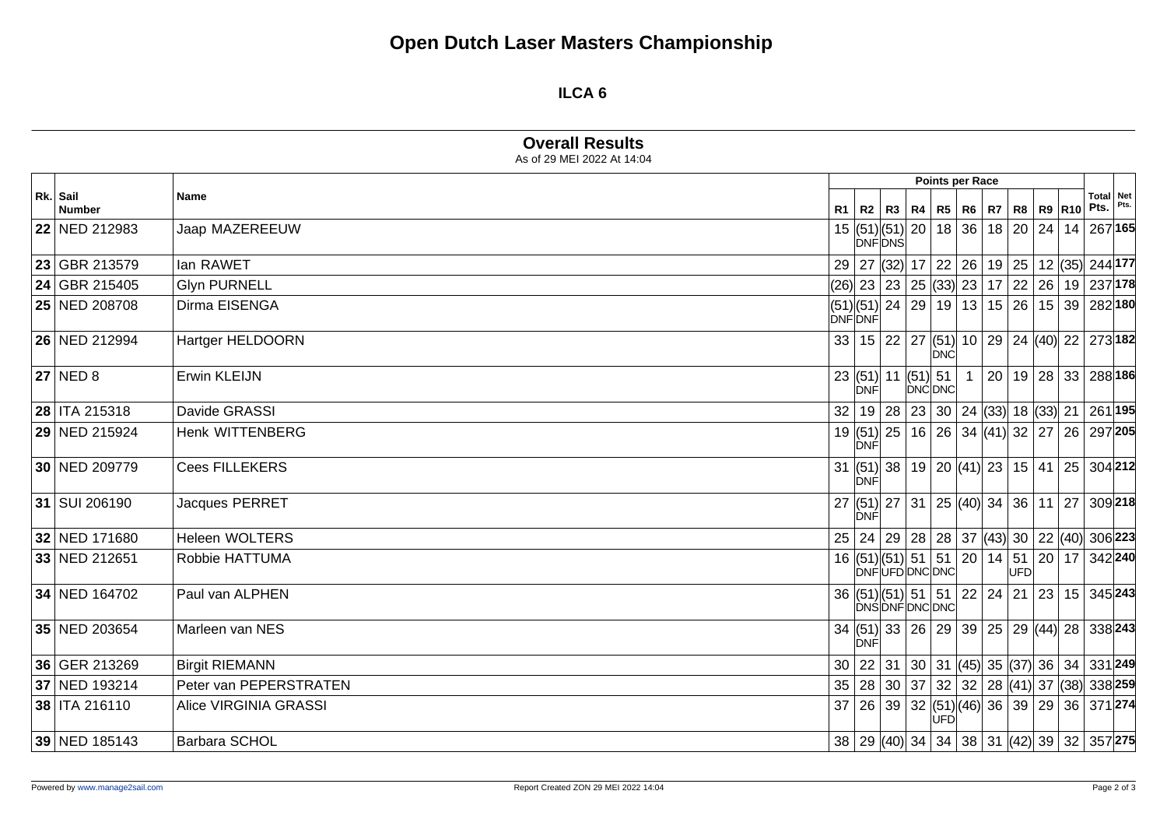# **Open Dutch Laser Masters Championship**

#### **ILCA 6**

#### **Overall Results**

As of 29 MEI 2022 At 14:04

|                           |                        | Points per Race |            |                                         |  |                                                                                                 |  |      |                                            |  |                                                                  |
|---------------------------|------------------------|-----------------|------------|-----------------------------------------|--|-------------------------------------------------------------------------------------------------|--|------|--------------------------------------------|--|------------------------------------------------------------------|
| Rk. Sail<br><b>Number</b> | Name                   |                 |            | $R1$ $R2$ $R3$ $R4$                     |  |                                                                                                 |  |      | R5   R6   R7   R8   R9   R10   Pts.   Pts. |  | Total Net                                                        |
| 22 NED 212983             | Jaap MAZEREEUW         |                 |            | <b>DNFDNS</b>                           |  |                                                                                                 |  |      |                                            |  | 15 (51) (51) 20 18 36 18 20 24 14 267 165                        |
| 23 GBR 213579             | lan RAWET              | 29              |            | 27 (32) 17 22 26 19 25 12 (35) 244 177  |  |                                                                                                 |  |      |                                            |  |                                                                  |
| 24 GBR 215405             | <b>Glyn PURNELL</b>    |                 |            |                                         |  |                                                                                                 |  |      |                                            |  | (26) 23   23   25   (33) 23   17   22   26   19   237   178      |
| 25 NED 208708             | Dirma EISENGA          |                 |            |                                         |  |                                                                                                 |  |      |                                            |  | $\frac{ (51) (51)}{ DNF DNF }$ 24 29 19 13 15 26 15 39 282 180   |
| 26 NED 212994             | Hartger HELDOORN       | 33              |            |                                         |  | <b>DNC</b>                                                                                      |  |      |                                            |  | 15 22 27 (51) 10 29 24 (40) 22 273 182                           |
| $27$ NED 8                | Erwin KLEIJN           |                 |            | $23 \frac{ 51 }{ DNF } 11$              |  | $\begin{array}{ c c }\n\hline\n\text{(51)} & \text{51} \\ \text{DNC} & \text{DNC}\n\end{array}$ |  |      |                                            |  | 20   19   28   33   288 <mark>186</mark>                         |
| 28   ITA 215318           | Davide GRASSI          | 32              |            |                                         |  |                                                                                                 |  |      |                                            |  | 19 28 23 30 24 (33) 18 (33) 21 261 195                           |
| 29 NED 215924             | <b>Henk WITTENBERG</b> |                 |            |                                         |  |                                                                                                 |  |      |                                            |  | 19 (51) 25 16 26 34 41) 32 27 26 297 205                         |
| 30 NED 209779             | <b>Cees FILLEKERS</b>  |                 | <b>DNF</b> |                                         |  |                                                                                                 |  |      |                                            |  | 31 $ (51) $ 38   19   20 $ (41) $ 23   15   41   25   304   212  |
| 31 SUI 206190             | Jacques PERRET         |                 | <b>DNF</b> | 27 (51) 27 31                           |  |                                                                                                 |  |      |                                            |  | 25  (40)  34   36   11   27   309  <b>218</b>                    |
| 32 NED 171680             | <b>Heleen WOLTERS</b>  | 25 <sub>1</sub> |            |                                         |  |                                                                                                 |  |      |                                            |  | $24   29   28   28   37   (43)   30   22   (40)   306   223$     |
| 33 NED 212651             | Robbie HATTUMA         |                 |            | <b>DNFUFDDNCDNC</b>                     |  |                                                                                                 |  | LIED |                                            |  | 16 (51) (51) 51 51 20 14 51 20 17 342 240                        |
| 34 NED 164702             | Paul van ALPHEN        |                 |            | 36  (51) (51)  51<br>∣๎DNŚ∣DNF∣DNC∣DNC∣ |  |                                                                                                 |  |      |                                            |  | 51 22 24 21 23 15 345 243                                        |
| 35 NED 203654             | Marleen van NES        |                 | <b>DNF</b> |                                         |  |                                                                                                 |  |      |                                            |  | $34  (51)   33   26   29   39   25   29   (44)   28   338   243$ |
| 36 GER 213269             | <b>Birgit RIEMANN</b>  | 30 <sup>1</sup> |            |                                         |  |                                                                                                 |  |      |                                            |  | 22 31 30 31 (45) 35 (37) 36 34 331 249                           |
| 37 NED 193214             | Peter van PEPERSTRATEN | 35              |            |                                         |  |                                                                                                 |  |      |                                            |  | 28 30 37 32 32 32 41) 37 (38) 338 259                            |
| 38   ITA 216110           | Alice VIRGINIA GRASSI  | 37              |            |                                         |  | <b>ÚFD</b>                                                                                      |  |      |                                            |  | 26   39   32   (51)   (46)   36   39   29   36   371   274       |
| 39 NED 185143             | Barbara SCHOL          |                 |            |                                         |  |                                                                                                 |  |      |                                            |  | 38 29 (40) 34 34 38 31 (42) 39 32 357 275                        |